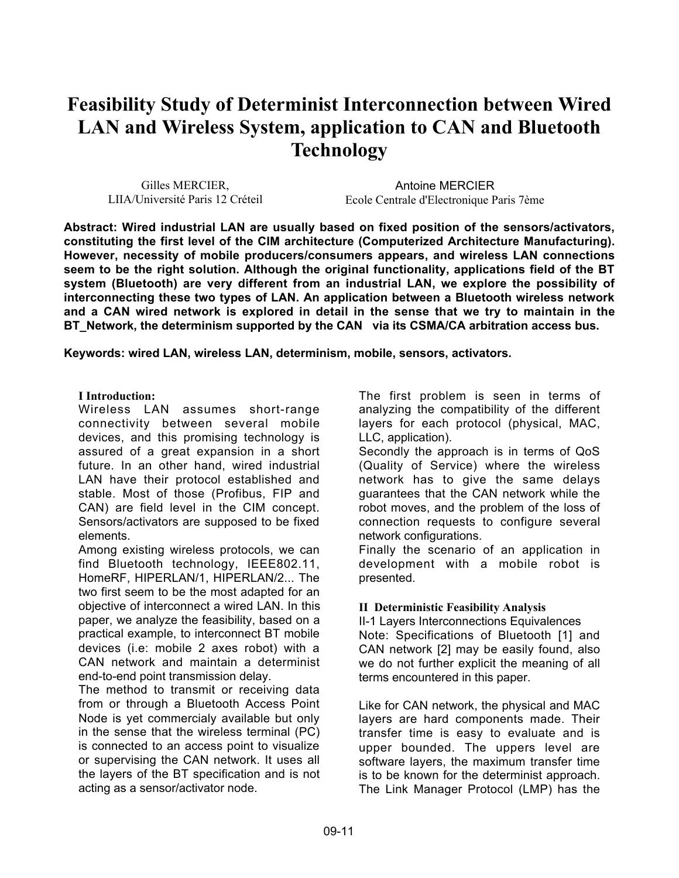# **Feasibility Study of Determinist Interconnection between Wired LAN and Wireless System, application to CAN and Bluetooth Technology**

Gilles MERCIER, LIIA/Université Paris 12 Créteil

Antoine MERCIER Ecole Centrale d'Electronique Paris 7ème

**Abstract: Wired industrial LAN are usually based on fixed position of the sensors/activators, constituting the first level of the CIM architecture (Computerized Architecture Manufacturing). However, necessity of mobile producers/consumers appears, and wireless LAN connections seem to be the right solution. Although the original functionality, applications field of the BT system (Bluetooth) are very different from an industrial LAN, we explore the possibility of interconnecting these two types of LAN. An application between a Bluetooth wireless network and a CAN wired network is explored in detail in the sense that we try to maintain in the BT\_Network, the determinism supported by the CAN via its CSMA/CA arbitration access bus.**

**Keywords: wired LAN, wireless LAN, determinism, mobile, sensors, activators.**

#### **I Introduction:**

Wireless LAN assumes short-range connectivity between several mobile devices, and this promising technology is assured of a great expansion in a short future. In an other hand, wired industrial LAN have their protocol established and stable. Most of those (Profibus, FIP and CAN) are field level in the CIM concept. Sensors/activators are supposed to be fixed elements.

Among existing wireless protocols, we can find Bluetooth technology, IEEE802.11, HomeRF, HIPERLAN/1, HIPERLAN/2... The two first seem to be the most adapted for an objective of interconnect a wired LAN. In this paper, we analyze the feasibility, based on a practical example, to interconnect BT mobile devices (i.e: mobile 2 axes robot) with a CAN network and maintain a determinist end-to-end point transmission delay.

The method to transmit or receiving data from or through a Bluetooth Access Point Node is yet commercialy available but only in the sense that the wireless terminal (PC) is connected to an access point to visualize or supervising the CAN network. It uses all the layers of the BT specification and is not acting as a sensor/activator node.

The first problem is seen in terms of analyzing the compatibility of the different layers for each protocol (physical, MAC, LLC, application).

Secondly the approach is in terms of QoS (Quality of Service) where the wireless network has to give the same delays guarantees that the CAN network while the robot moves, and the problem of the loss of connection requests to configure several network configurations.

Finally the scenario of an application in development with a mobile robot is presented.

#### **II Deterministic Feasibility Analysis**

II-1 Layers Interconnections Equivalences Note: Specifications of Bluetooth [1] and CAN network [2] may be easily found, also we do not further explicit the meaning of all terms encountered in this paper.

Like for CAN network, the physical and MAC layers are hard components made. Their transfer time is easy to evaluate and is upper bounded. The uppers level are software layers, the maximum transfer time is to be known for the determinist approach. The Link Manager Protocol (LMP) has the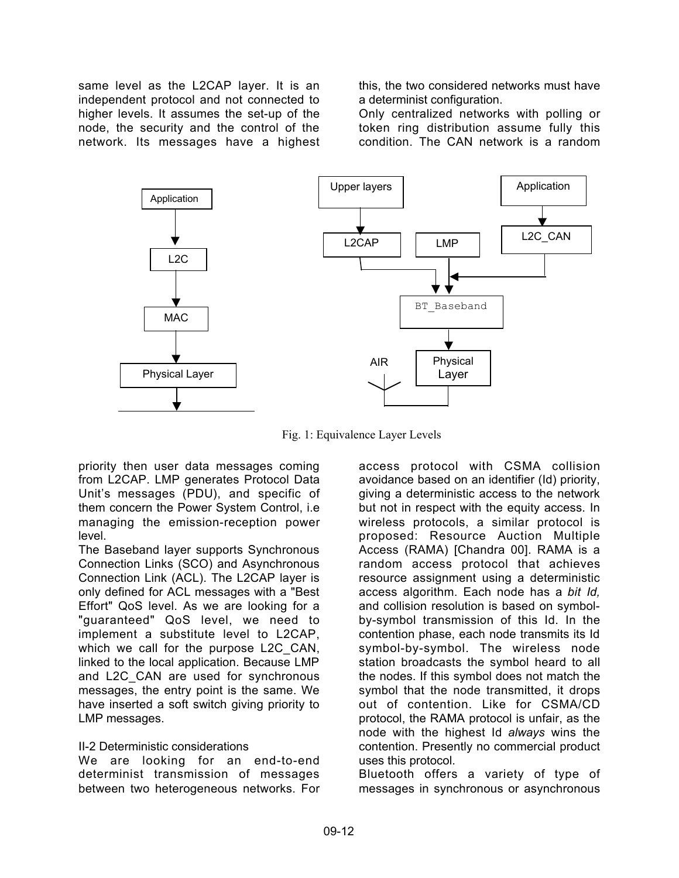same level as the L2CAP layer. It is an independent protocol and not connected to higher levels. It assumes the set-up of the node, the security and the control of the network. Its messages have a highest this, the two considered networks must have a determinist configuration.

Only centralized networks with polling or token ring distribution assume fully this condition. The CAN network is a random



Fig. 1: Equivalence Layer Levels

priority then user data messages coming from L2CAP. LMP generates Protocol Data Unit's messages (PDU), and specific of them concern the Power System Control, i.e managing the emission-reception power level.

The Baseband layer supports Synchronous Connection Links (SCO) and Asynchronous Connection Link (ACL). The L2CAP layer is only defined for ACL messages with a "Best Effort" QoS level. As we are looking for a "guaranteed" QoS level, we need to implement a substitute level to L2CAP, which we call for the purpose L2C\_CAN, linked to the local application. Because LMP and L2C\_CAN are used for synchronous messages, the entry point is the same. We have inserted a soft switch giving priority to LMP messages.

## II-2 Deterministic considerations

We are looking for an end-to-end determinist transmission of messages between two heterogeneous networks. For

access protocol with CSMA collision avoidance based on an identifier (Id) priority, giving a deterministic access to the network but not in respect with the equity access. In wireless protocols, a similar protocol is proposed: Resource Auction Multiple Access (RAMA) [Chandra 00]. RAMA is a random access protocol that achieves resource assignment using a deterministic access algorithm. Each node has a *bit Id,* and collision resolution is based on symbolby-symbol transmission of this Id. In the contention phase, each node transmits its Id symbol-by-symbol. The wireless node station broadcasts the symbol heard to all the nodes. If this symbol does not match the symbol that the node transmitted, it drops out of contention. Like for CSMA/CD protocol, the RAMA protocol is unfair, as the node with the highest Id *always* wins the contention. Presently no commercial product uses this protocol.

Bluetooth offers a variety of type of messages in synchronous or asynchronous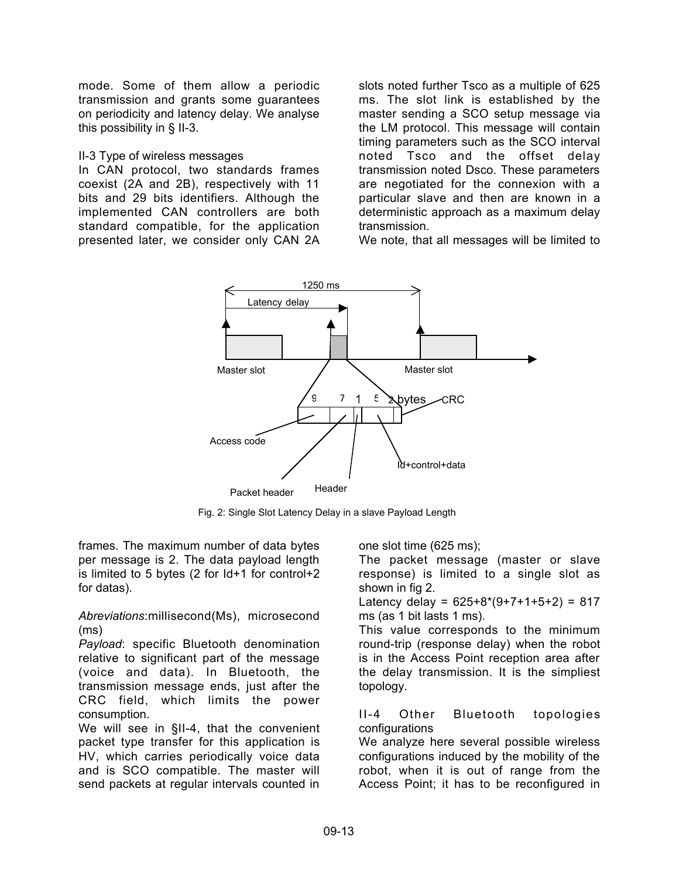mode. Some of them allow a periodic transmission and grants some guarantees on periodicity and latency delay. We analyse this possibility in § II-3.

#### II-3 Type of wireless messages

In CAN protocol, two standards frames coexist (2A and 2B), respectively with 11 bits and 29 bits identifiers. Although the implemented CAN controllers are both standard compatible, for the application presented later, we consider only CAN 2A

slots noted further Tsco as a multiple of 625 ms. The slot link is established by the master sending a SCO setup message via the LM protocol. This message will contain timing parameters such as the SCO interval noted Tsco and the offset delay transmission noted Dsco. These parameters are negotiated for the connexion with a particular slave and then are known in a deterministic approach as a maximum delay transmission.

We note, that all messages will be limited to



Fig. 2: Single Slot Latency Delay in a slave Payload Length

frames. The maximum number of data bytes per message is 2. The data payload length is limited to 5 bytes (2 for Id+1 for control+2 for datas).

#### *Abreviations*:millisecond(Ms), microsecond (ms)

*Payload*: specific Bluetooth denomination relative to significant part of the message (voice and data). In Bluetooth, the transmission message ends, just after the CRC field, which limits the power consumption.

We will see in §II-4, that the convenient packet type transfer for this application is HV, which carries periodically voice data and is SCO compatible. The master will send packets at regular intervals counted in one slot time (625 ms);

The packet message (master or slave response) is limited to a single slot as shown in fig 2.

Latency delay =  $625+8*(9+7+1+5+2) = 817$ ms (as 1 bit lasts 1 ms).

This value corresponds to the minimum round-trip (response delay) when the robot is in the Access Point reception area after the delay transmission. It is the simpliest topology.

#### II-4 Other Bluetooth topologies configurations

We analyze here several possible wireless configurations induced by the mobility of the robot, when it is out of range from the Access Point; it has to be reconfigured in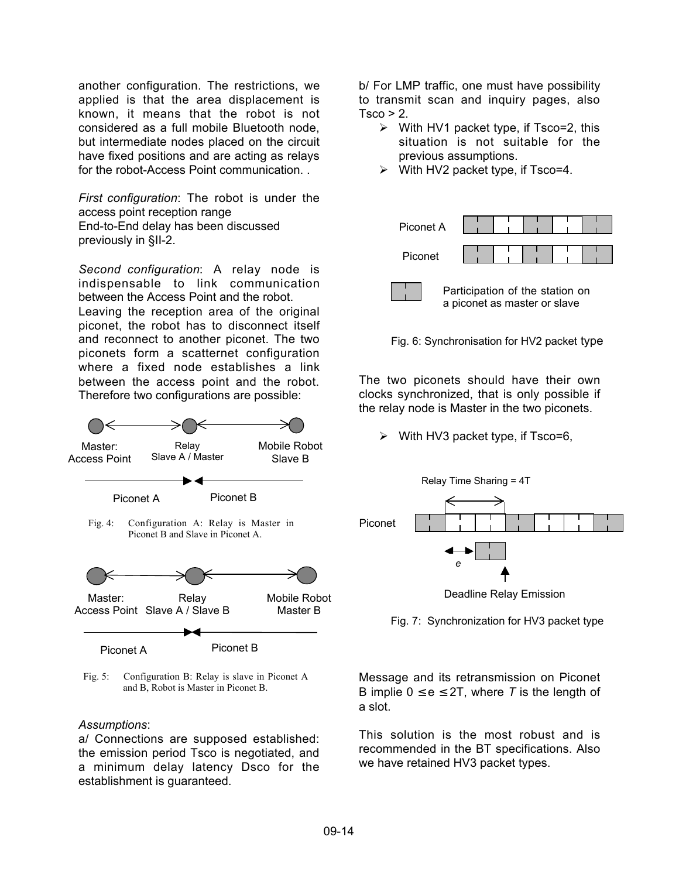another configuration. The restrictions, we applied is that the area displacement is known, it means that the robot is not considered as a full mobile Bluetooth node, but intermediate nodes placed on the circuit have fixed positions and are acting as relays for the robot-Access Point communication. .

*First configuration*: The robot is under the access point reception range End-to-End delay has been discussed previously in §II-2.

*Second configuration*: A relay node is indispensable to link communication between the Access Point and the robot. Leaving the reception area of the original piconet, the robot has to disconnect itself and reconnect to another piconet. The two piconets form a scatternet configuration where a fixed node establishes a link between the access point and the robot. Therefore two configurations are possible:



Fig. 5: Configuration B: Relay is slave in Piconet A and B, Robot is Master in Piconet B.

#### *Assumptions*:

a/ Connections are supposed established: the emission period Tsco is negotiated, and a minimum delay latency Dsco for the establishment is guaranteed.

b/ For LMP traffic, one must have possibility to transmit scan and inquiry pages, also  $T<sub>SCO</sub> > 2.$ 

- $\triangleright$  With HV1 packet type, if Tsco=2, this situation is not suitable for the previous assumptions.
- With HV2 packet type, if Tsco=4.



Fig. 6: Synchronisation for HV2 packet type

The two piconets should have their own clocks synchronized, that is only possible if the relay node is Master in the two piconets.

 $\triangleright$  With HV3 packet type, if Tsco=6,



Deadline Relay Emission

Fig. 7: Synchronization for HV3 packet type

Message and its retransmission on Piconet B implie  $0 \le e \le 2T$ , where T is the length of a slot.

This solution is the most robust and is recommended in the BT specifications. Also we have retained HV3 packet types.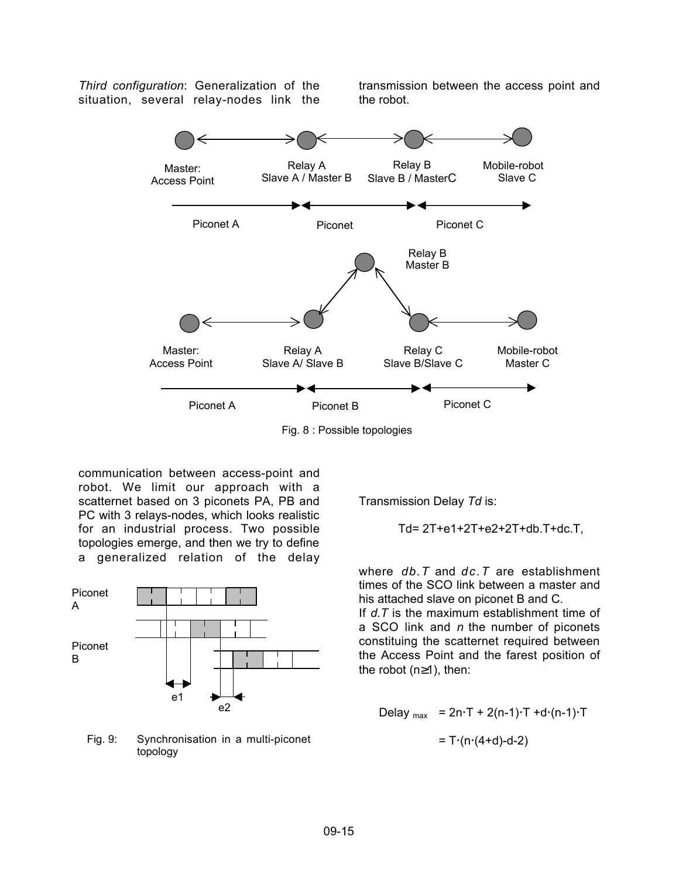*Third configuration*: Generalization of the situation, several relay-nodes link the

transmission between the access point and the robot.



communication between access-point and robot. We limit our approach with a scatternet based on 3 piconets PA, PB and PC with 3 relays-nodes, which looks realistic for an industrial process. Two possible topologies emerge, and then we try to define a generalized relation of the delay

![](_page_4_Figure_4.jpeg)

Fig. 9: Synchronisation in a multi-piconet topology

Transmission Delay *Td* is:

$$
Td = 2T + e1 + 2T + e2 + 2T + db \cdot T + dc \cdot T,
$$

where *db.T* and *dc.T* are establishment times of the SCO link between a master and his attached slave on piconet B and C.

If *d.T* is the maximum establishment time of a SCO link and *n* the number of piconets constituing the scatternet required between the Access Point and the farest position of the robot (n≥1), then:

$$
Delay_{max} = 2n \cdot T + 2(n-1) \cdot T + d \cdot (n-1) \cdot T
$$

$$
= T \cdot (n \cdot (4 + d) - d - 2)
$$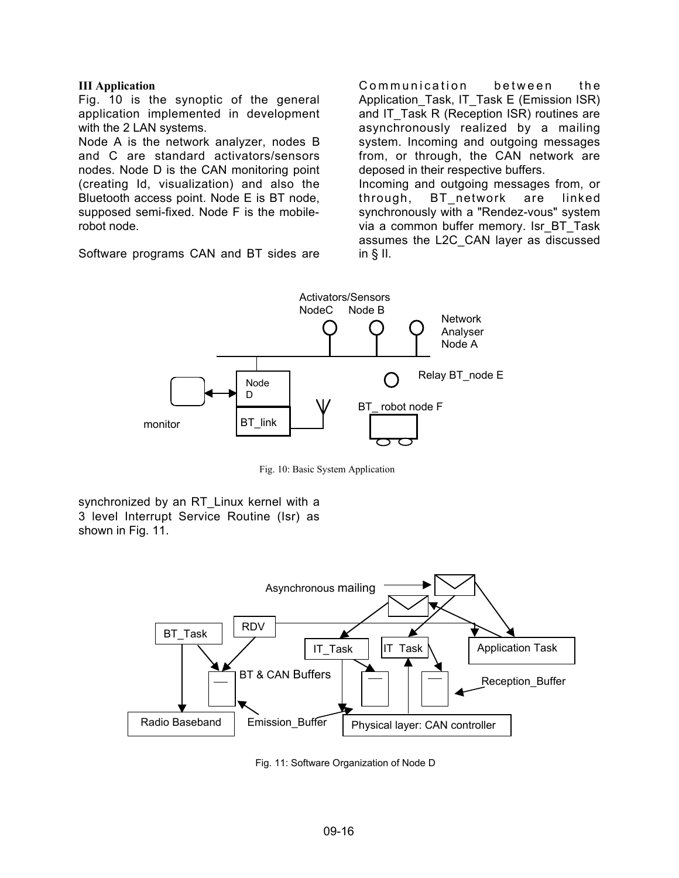#### **III Application**

Fig. 10 is the synoptic of the general application implemented in development with the 2 LAN systems.

Node A is the network analyzer, nodes B and C are standard activators/sensors nodes. Node D is the CAN monitoring point (creating Id, visualization) and also the Bluetooth access point. Node E is BT node, supposed semi-fixed. Node F is the mobilerobot node.

Software programs CAN and BT sides are

Communication between the Application\_Task, IT\_Task E (Emission ISR) and IT\_Task R (Reception ISR) routines are asynchronously realized by a mailing system. Incoming and outgoing messages from, or through, the CAN network are deposed in their respective buffers. Incoming and outgoing messages from, or through, BT network are linked synchronously with a "Rendez-vous" system via a common buffer memory. Isr\_BT\_Task assumes the L2C\_CAN layer as discussed

![](_page_5_Figure_5.jpeg)

in § II.

Fig. 10: Basic System Application

synchronized by an RT Linux kernel with a 3 level Interrupt Service Routine (Isr) as shown in Fig. 11.

![](_page_5_Figure_8.jpeg)

Fig. 11: Software Organization of Node D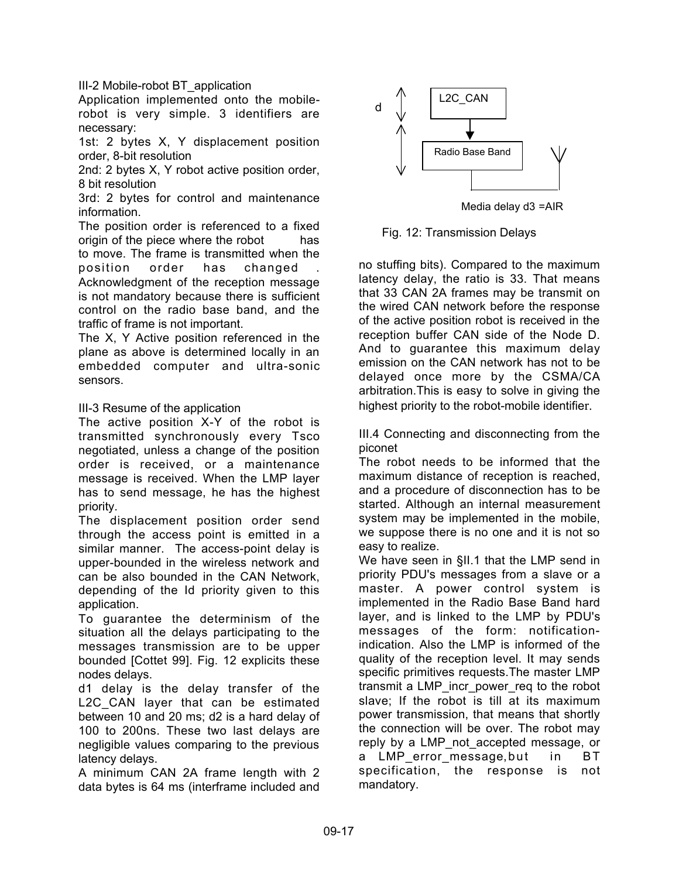III-2 Mobile-robot BT\_application

Application implemented onto the mobilerobot is very simple. 3 identifiers are necessary:

1st: 2 bytes X, Y displacement position order, 8-bit resolution

2nd: 2 bytes X, Y robot active position order, 8 bit resolution

3rd: 2 bytes for control and maintenance information.

The position order is referenced to a fixed origin of the piece where the robot has to move. The frame is transmitted when the position order has changed Acknowledgment of the reception message is not mandatory because there is sufficient control on the radio base band, and the traffic of frame is not important.

The X, Y Active position referenced in the plane as above is determined locally in an embedded computer and ultra-sonic sensors.

## III-3 Resume of the application

The active position X-Y of the robot is transmitted synchronously every Tsco negotiated, unless a change of the position order is received, or a maintenance message is received. When the LMP layer has to send message, he has the highest priority.

The displacement position order send through the access point is emitted in a similar manner. The access-point delay is upper-bounded in the wireless network and can be also bounded in the CAN Network, depending of the Id priority given to this application.

To guarantee the determinism of the situation all the delays participating to the messages transmission are to be upper bounded [Cottet 99]. Fig. 12 explicits these nodes delays.

d1 delay is the delay transfer of the L2C CAN layer that can be estimated between 10 and 20 ms; d2 is a hard delay of 100 to 200ns. These two last delays are negligible values comparing to the previous latency delays.

A minimum CAN 2A frame length with 2 data bytes is 64 ms (interframe included and

![](_page_6_Figure_13.jpeg)

Media delay d3 =AIR

Fig. 12: Transmission Delays

no stuffing bits). Compared to the maximum latency delay, the ratio is 33. That means that 33 CAN 2A frames may be transmit on the wired CAN network before the response of the active position robot is received in the reception buffer CAN side of the Node D. And to guarantee this maximum delay emission on the CAN network has not to be delayed once more by the CSMA/CA arbitration.This is easy to solve in giving the highest priority to the robot-mobile identifier.

III.4 Connecting and disconnecting from the piconet

The robot needs to be informed that the maximum distance of reception is reached, and a procedure of disconnection has to be started. Although an internal measurement system may be implemented in the mobile, we suppose there is no one and it is not so easy to realize.

We have seen in §II.1 that the LMP send in priority PDU's messages from a slave or a master. A power control system is implemented in the Radio Base Band hard layer, and is linked to the LMP by PDU's messages of the form: notificationindication. Also the LMP is informed of the quality of the reception level. It may sends specific primitives requests.The master LMP transmit a LMP\_incr\_power\_req to the robot slave; If the robot is till at its maximum power transmission, that means that shortly the connection will be over. The robot may reply by a LMP\_not\_accepted message, or a LMP error message, but in BT specification, the response is not mandatory.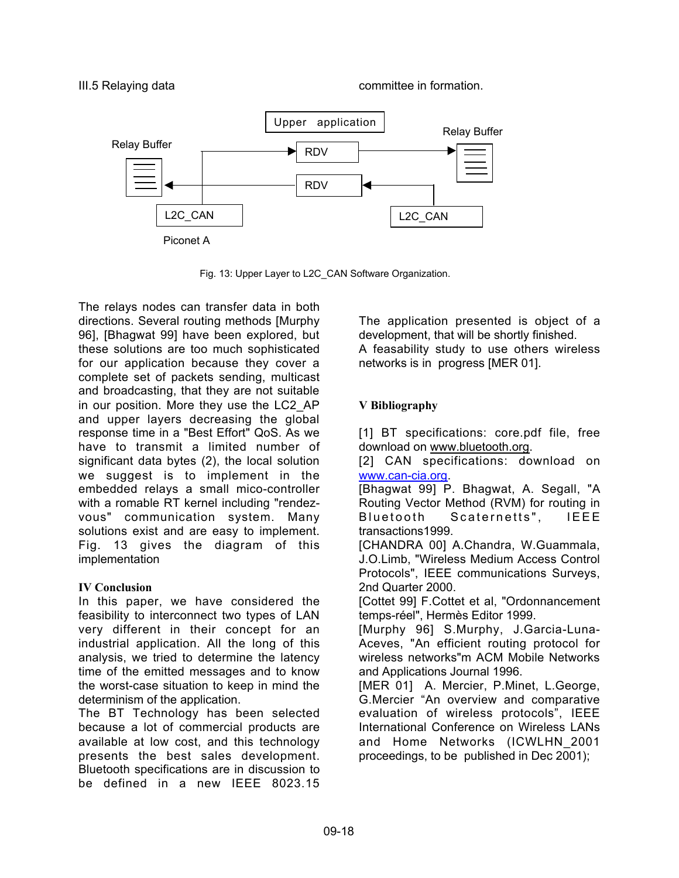![](_page_7_Figure_2.jpeg)

Fig. 13: Upper Layer to L2C\_CAN Software Organization.

The relays nodes can transfer data in both directions. Several routing methods [Murphy 96], [Bhagwat 99] have been explored, but these solutions are too much sophisticated for our application because they cover a complete set of packets sending, multicast and broadcasting, that they are not suitable in our position. More they use the LC2\_AP and upper layers decreasing the global response time in a "Best Effort" QoS. As we have to transmit a limited number of significant data bytes (2), the local solution we suggest is to implement in the embedded relays a small mico-controller with a romable RT kernel including "rendezvous" communication system. Many solutions exist and are easy to implement. Fig. 13 gives the diagram of this implementation

## **IV Conclusion**

In this paper, we have considered the feasibility to interconnect two types of LAN very different in their concept for an industrial application. All the long of this analysis, we tried to determine the latency time of the emitted messages and to know the worst-case situation to keep in mind the determinism of the application.

The BT Technology has been selected because a lot of commercial products are available at low cost, and this technology presents the best sales development. Bluetooth specifications are in discussion to be defined in a new IEEE 8023.15

The application presented is object of a development, that will be shortly finished. A feasability study to use others wireless networks is in progress [MER 01].

# **V Bibliography**

[1] BT specifications: core.pdf file, free download on www.bluetooth.org.

[2] CAN specifications: download on www.can-cia.org.

[Bhagwat 99] P. Bhagwat, A. Segall, "A Routing Vector Method (RVM) for routing in Bluetooth Scaternetts", IEEE transactions1999.

[CHANDRA 00] A.Chandra, W.Guammala, J.O.Limb, "Wireless Medium Access Control Protocols", IEEE communications Surveys, 2nd Quarter 2000.

[Cottet 99] F.Cottet et al, "Ordonnancement temps-réel", Hermès Editor 1999.

[Murphy 96] S.Murphy, J.Garcia-Luna-Aceves, "An efficient routing protocol for wireless networks"m ACM Mobile Networks and Applications Journal 1996.

[MER 01] A. Mercier, P.Minet, L.George, G.Mercier "An overview and comparative evaluation of wireless protocols", IEEE International Conference on Wireless LANs and Home Networks (ICWLHN\_2001 proceedings, to be published in Dec 2001);